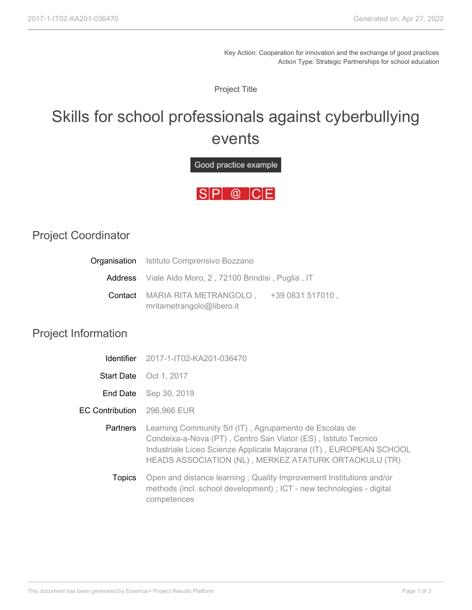Key Action: Cooperation for innovation and the exchange of good practices Action Type: Strategic Partnerships for school education

Project Title

## Skills for school professionals against cyberbullying events

Good practice example



## Project Coordinator

| <b>Organisation</b> Istituto Comprensivo Bozzano       |                  |
|--------------------------------------------------------|------------------|
| Address Viale Aldo Moro, 2, 72100 Brindisi, Puglia, IT |                  |
| <b>Contact</b> MARIA RITA METRANGOLO,                  | +39 0831 517010, |
| mritametrangolo@libero.it                              |                  |

## Project Information

|                        | <b>Identifier</b> 2017-1-IT02-KA201-036470                                                                                                                                                                                                              |  |
|------------------------|---------------------------------------------------------------------------------------------------------------------------------------------------------------------------------------------------------------------------------------------------------|--|
| <b>Start Date</b>      | Oct 1, 2017                                                                                                                                                                                                                                             |  |
| End Date               | Sep 30, 2019                                                                                                                                                                                                                                            |  |
| <b>EC Contribution</b> | 296,966 EUR                                                                                                                                                                                                                                             |  |
| <b>Partners</b>        | Learning Community Srl (IT), Agrupamento de Escolas de<br>Condeixa-a-Nova (PT), Centro San Viator (ES), Istituto Tecnico<br>Industriale Liceo Scienze Applicate Majorana (IT), EUROPEAN SCHOOL<br>HEADS ASSOCIATION (NL), MERKEZ ATATURK ORTAOKULU (TR) |  |
| <b>Topics</b>          | Open and distance learning; Quality Improvement Institutions and/or<br>methods (incl. school development) ; ICT - new technologies - digital<br>competences                                                                                             |  |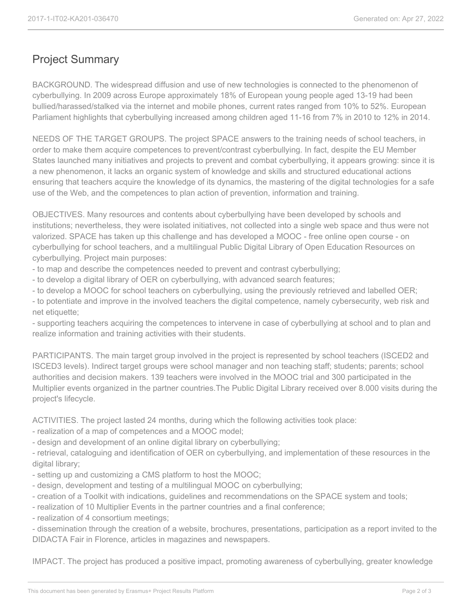## Project Summary

BACKGROUND. The widespread diffusion and use of new technologies is connected to the phenomenon of cyberbullying. In 2009 across Europe approximately 18% of European young people aged 13-19 had been bullied/harassed/stalked via the internet and mobile phones, current rates ranged from 10% to 52%. European Parliament highlights that cyberbullying increased among children aged 11-16 from 7% in 2010 to 12% in 2014.

NEEDS OF THE TARGET GROUPS. The project SPACE answers to the training needs of school teachers, in order to make them acquire competences to prevent/contrast cyberbullying. In fact, despite the EU Member States launched many initiatives and projects to prevent and combat cyberbullying, it appears growing: since it is a new phenomenon, it lacks an organic system of knowledge and skills and structured educational actions ensuring that teachers acquire the knowledge of its dynamics, the mastering of the digital technologies for a safe use of the Web, and the competences to plan action of prevention, information and training.

OBJECTIVES. Many resources and contents about cyberbullying have been developed by schools and institutions; nevertheless, they were isolated initiatives, not collected into a single web space and thus were not valorized. SPACE has taken up this challenge and has developed a MOOC - free online open course - on cyberbullying for school teachers, and a multilingual Public Digital Library of Open Education Resources on cyberbullying. Project main purposes:

- to map and describe the competences needed to prevent and contrast cyberbullying;

- to develop a digital library of OER on cyberbullying, with advanced search features;

- to develop a MOOC for school teachers on cyberbullying, using the previously retrieved and labelled OER;

- to potentiate and improve in the involved teachers the digital competence, namely cybersecurity, web risk and net etiquette;

- supporting teachers acquiring the competences to intervene in case of cyberbullying at school and to plan and realize information and training activities with their students.

PARTICIPANTS. The main target group involved in the project is represented by school teachers (ISCED2 and ISCED3 levels). Indirect target groups were school manager and non teaching staff; students; parents; school authorities and decision makers. 139 teachers were involved in the MOOC trial and 300 participated in the Multiplier events organized in the partner countries.The Public Digital Library received over 8.000 visits during the project's lifecycle.

ACTIVITIES. The project lasted 24 months, during which the following activities took place:

- realization of a map of competences and a MOOC model;
- design and development of an online digital library on cyberbullying;

- retrieval, cataloguing and identification of OER on cyberbullying, and implementation of these resources in the digital library;

- setting up and customizing a CMS platform to host the MOOC;
- design, development and testing of a multilingual MOOC on cyberbullying;
- creation of a Toolkit with indications, guidelines and recommendations on the SPACE system and tools;
- realization of 10 Multiplier Events in the partner countries and a final conference;
- realization of 4 consortium meetings;

- dissemination through the creation of a website, brochures, presentations, participation as a report invited to the DIDACTA Fair in Florence, articles in magazines and newspapers.

IMPACT. The project has produced a positive impact, promoting awareness of cyberbullying, greater knowledge